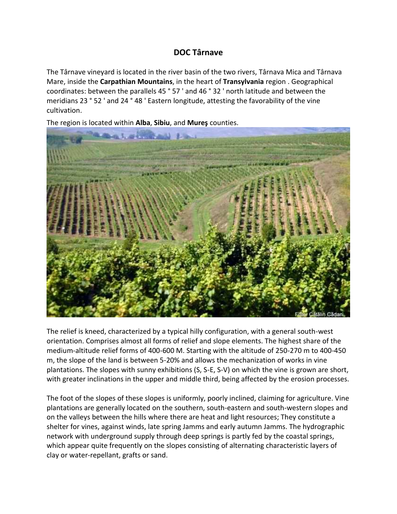## **DOC [Târnave](https://premiumwinesofromania.com/tarnave-doc/)**

The Târnave vineyard is located in the river basin of the two rivers, Târnava Mica and Târnava Mare, inside the **Carpathian Mountains**, in the heart of **Transylvania** region . Geographical coordinates: between the parallels 45 ° 57 ' and 46 ° 32 ' north latitude and between the meridians 23 ° 52 ' and 24 ° 48 ' Eastern longitude, attesting the favorability of the vine cultivation.

The region is located within **Alba**, **Sibiu**, and **Mureş** counties.



The relief is kneed, characterized by a typical hilly configuration, with a general south-west orientation. Comprises almost all forms of relief and slope elements. The highest share of the medium-altitude relief forms of 400-600 M. Starting with the altitude of 250-270 m to 400-450 m, the slope of the land is between 5-20% and allows the mechanization of works in vine plantations. The slopes with sunny exhibitions (S, S-E, S-V) on which the vine is grown are short, with greater inclinations in the upper and middle third, being affected by the erosion processes.

The foot of the slopes of these slopes is uniformly, poorly inclined, claiming for agriculture. Vine plantations are generally located on the southern, south-eastern and south-western slopes and on the valleys between the hills where there are heat and light resources; They constitute a shelter for vines, against winds, late spring Jamms and early autumn Jamms. The hydrographic network with underground supply through deep springs is partly fed by the coastal springs, which appear quite frequently on the slopes consisting of alternating characteristic layers of clay or water-repellant, grafts or sand.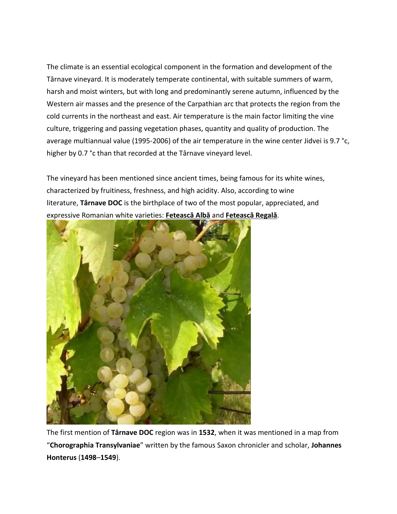The climate is an essential ecological component in the formation and development of the Târnave vineyard. It is moderately temperate continental, with suitable summers of warm, harsh and moist winters, but with long and predominantly serene autumn, influenced by the Western air masses and the presence of the Carpathian arc that protects the region from the cold currents in the northeast and east. Air temperature is the main factor limiting the vine culture, triggering and passing vegetation phases, quantity and quality of production. The average multiannual value (1995-2006) of the air temperature in the wine center Jidvei is 9.7 °c, higher by 0.7 °c than that recorded at the Târnave vineyard level.

The vineyard has been mentioned since ancient times, being famous for its white wines, characterized by fruitiness, freshness, and high acidity. Also, according to wine literature, **Târnave DOC** is the birthplace of two of the most popular, appreciated, and expressive Romanian white varieties: **[Fetească](https://premiumwinesofromania.com/feteasca-alba/) Albă** and **[Fetească](https://premiumwinesofromania.com/feteasca-regala/) Regală**.



The first mention of **Târnave DOC** region was in **1532**, when it was mentioned in a map from "**Chorographia Transylvaniae**" written by the famous Saxon chronicler and scholar, **Johannes Honterus** (**1498**–**1549**).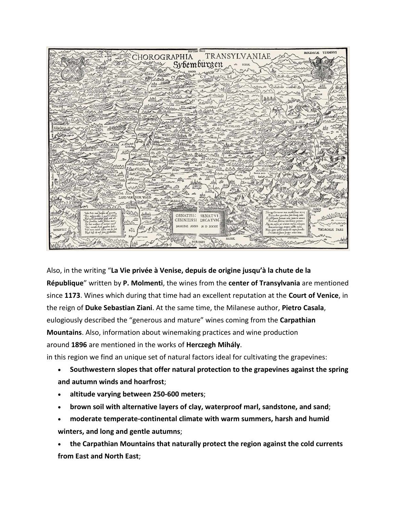

Also, in the writing "**La Vie privée à Venise, depuis de origine jusqu'à la chute de la République**" written by **P. Molmenti**, the wines from the **center of Transylvania** are mentioned since **1173**. Wines which during that time had an excellent reputation at the **Court of Venice**, in the reign of **Duke Sebastian Ziani**. At the same time, the Milanese author, **Pietro Casala**, eulogiously described the "generous and mature" wines coming from the **Carpathian Mountains**. Also, information about winemaking practices and wine production around **1896** are mentioned in the works of **Herczegh Mihály**.

in this region we find an unique set of natural factors ideal for cultivating the grapevines:

- **Southwestern slopes that offer natural protection to the grapevines against the spring and autumn winds and hoarfrost**;
- **altitude varying between 250-600 meters**;
- **brown soil with alternative layers of clay, waterproof marl, sandstone, and sand**;
- **moderate temperate-continental climate with warm summers, harsh and humid winters, and long and gentle autumns**;

 **the Carpathian Mountains that naturally protect the region against the cold currents from East and North East**;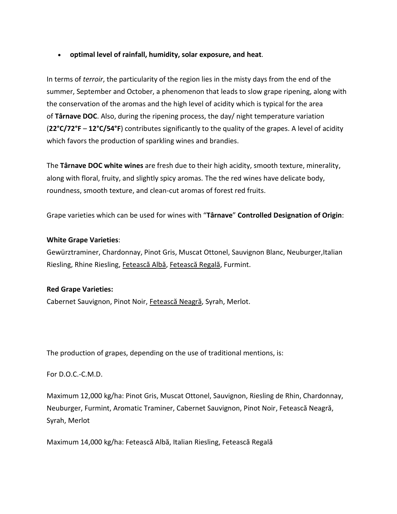## **optimal level of rainfall, humidity, solar exposure, and heat**.

In terms of *terroir*, the particularity of the region lies in the misty days from the end of the summer, September and October, a phenomenon that leads to slow grape ripening, along with the conservation of the aromas and the high level of acidity which is typical for the area of **Târnave DOC**. Also, during the ripening process, the day/ night temperature variation (**22°C/72°F** – **12°C/54°F**) contributes significantly to the quality of the grapes. A level of acidity which favors the production of sparkling wines and brandies.

The **Târnave DOC white wines** are fresh due to their high acidity, smooth texture, minerality, along with floral, fruity, and slightly spicy aromas. The the red wines have delicate body, roundness, smooth texture, and clean-cut aromas of forest red fruits.

Grape varieties which can be used for wines with "**Târnave**" **Controlled Designation of Origin**:

## **White Grape Varieties**:

Gewürztraminer, Chardonnay, Pinot Gris, Muscat Ottonel, Sauvignon Blanc, Neuburger,Italian Riesling, Rhine Riesling, [Fetească](https://premiumwinesofromania.com/feteasca-alba/) Albă, [Fetească](https://premiumwinesofromania.com/feteasca-regala/) Regală, Furmint.

## **Red Grape Varieties:**

Cabernet Sauvignon, Pinot Noir, [Fetească](https://premiumwinesofromania.com/feteasca-neagra/) Neagră, Syrah, Merlot.

The production of grapes, depending on the use of traditional mentions, is:

For D.O.C.-C.M.D.

Maximum 12,000 kg/ha: Pinot Gris, Muscat Ottonel, Sauvignon, Riesling de Rhin, Chardonnay, Neuburger, Furmint, Aromatic Traminer, Cabernet Sauvignon, Pinot Noir, Fetească Neagră, Syrah, Merlot

Maximum 14,000 kg/ha: Fetească Albă, Italian Riesling, Fetească Regală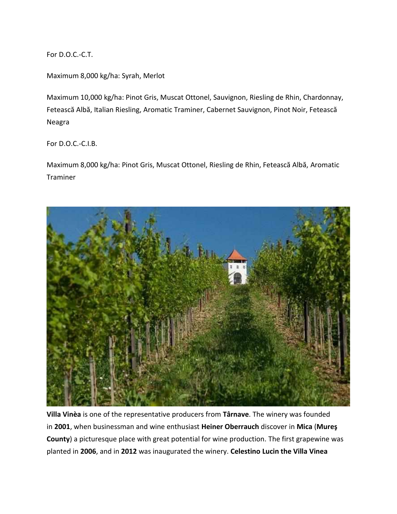For D.O.C.-C.T.

Maximum 8,000 kg/ha: Syrah, Merlot

Maximum 10,000 kg/ha: Pinot Gris, Muscat Ottonel, Sauvignon, Riesling de Rhin, Chardonnay, Fetească Albă, Italian Riesling, Aromatic Traminer, Cabernet Sauvignon, Pinot Noir, Fetească Neagra

For D.O.C.-C.I.B.

Maximum 8,000 kg/ha: Pinot Gris, Muscat Ottonel, Riesling de Rhin, Fetească Albă, Aromatic Traminer



**Villa Vinèa** is one of the representative producers from **Târnave**. The winery was founded in **2001**, when businessman and wine enthusiast **Heiner Oberrauch** discover in **Mica** (**Mureş County**) a picturesque place with great potential for wine production. The first grapewine was planted in **2006**, and in **2012** was inaugurated the winery. **Celestino Lucin the Villa Vinea**